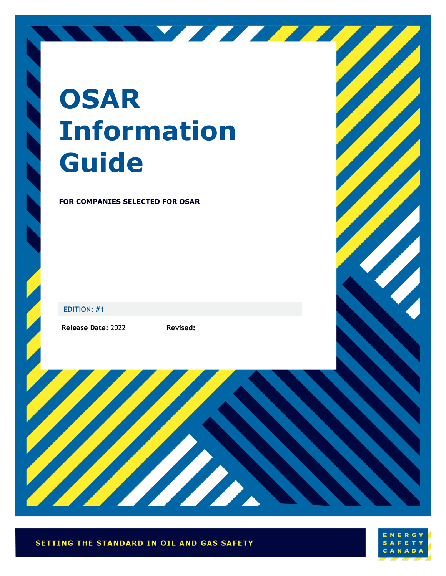# **OSAR Information Guide**

#### **FOR COMPANIES SELECTED FOR OSAR**

**EDITION: #1**

**Release Date:** 2022 **Revised:** 



NY FEFE

SETTING THE STANDARD IN OIL AND GAS SAFETY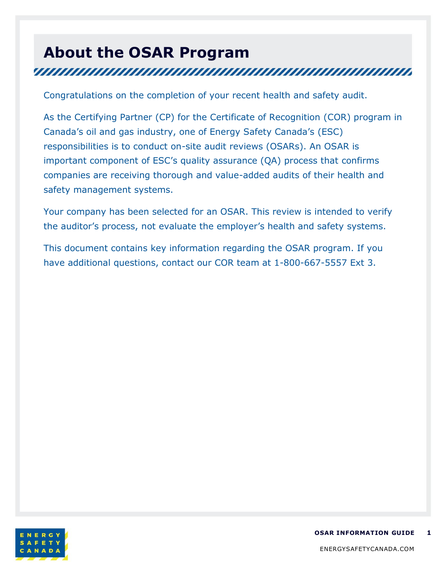## **About the OSAR Program** <u>TIININ INNIN INNIN INNIN INNIN INNIN INNIN INNIN IN</u>

Congratulations on the completion of your recent health and safety audit.

As the Certifying Partner (CP) for the Certificate of Recognition (COR) program in Canada's oil and gas industry, one of Energy Safety Canada's (ESC) responsibilities is to conduct on-site audit reviews (OSARs). An OSAR is important component of ESC's quality assurance (QA) process that confirms companies are receiving thorough and value-added audits of their health and safety management systems.

Your company has been selected for an OSAR. This review is intended to verify the auditor's process, not evaluate the employer's health and safety systems.

This document contains key information regarding the OSAR program. If you have additional questions, contact our COR team at 1-800-667-5557 Ext 3.

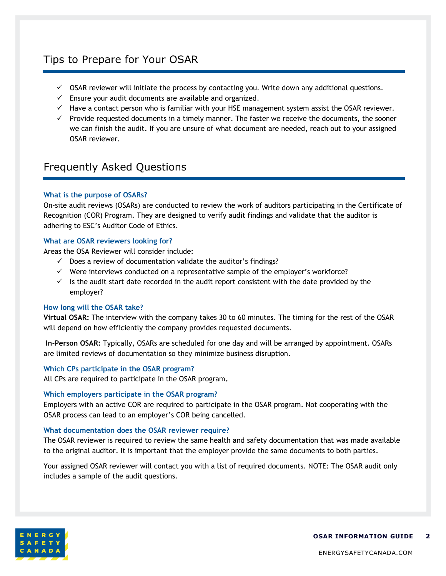### Tips to Prepare for Your OSAR

- $\checkmark$  OSAR reviewer will initiate the process by contacting you. Write down any additional questions.
- $\checkmark$  Ensure your audit documents are available and organized.
- $\checkmark$  Have a contact person who is familiar with your HSE management system assist the OSAR reviewer.
- $\checkmark$  Provide requested documents in a timely manner. The faster we receive the documents, the sooner we can finish the audit. If you are unsure of what document are needed, reach out to your assigned OSAR reviewer.

#### Frequently Asked Questions

#### **What is the purpose of OSARs?**

On-site audit reviews (OSARs) are conducted to review the work of auditors participating in the Certificate of Recognition (COR) Program. They are designed to verify audit findings and validate that the auditor is adhering to ESC's Auditor Code of Ethics.

#### **What are OSAR reviewers looking for?**

Areas the OSA Reviewer will consider include:

- $\checkmark$  Does a review of documentation validate the auditor's findings?
- ✓ Were interviews conducted on a representative sample of the employer's workforce?
- $\checkmark$  Is the audit start date recorded in the audit report consistent with the date provided by the employer?

#### **How long will the OSAR take?**

**Virtual OSAR:** The interview with the company takes 30 to 60 minutes. The timing for the rest of the OSAR will depend on how efficiently the company provides requested documents.

**In-Person OSAR:** Typically, OSARs are scheduled for one day and will be arranged by appointment. OSARs are limited reviews of documentation so they minimize business disruption.

#### **Which CPs participate in the OSAR program?**

All CPs are required to participate in the OSAR program**.** 

#### **Which employers participate in the OSAR program?**

Employers with an active COR are required to participate in the OSAR program. Not cooperating with the OSAR process can lead to an employer's COR being cancelled.

#### **What documentation does the OSAR reviewer require?**

The OSAR reviewer is required to review the same health and safety documentation that was made available to the original auditor. It is important that the employer provide the same documents to both parties.

Your assigned OSAR reviewer will contact you with a list of required documents. NOTE: The OSAR audit only includes a sample of the audit questions.

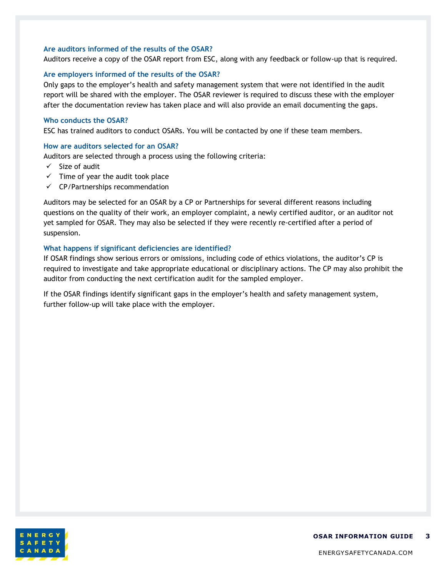#### **Are auditors informed of the results of the OSAR?**

Auditors receive a copy of the OSAR report from ESC, along with any feedback or follow-up that is required.

#### **Are employers informed of the results of the OSAR?**

Only gaps to the employer's health and safety management system that were not identified in the audit report will be shared with the employer. The OSAR reviewer is required to discuss these with the employer after the documentation review has taken place and will also provide an email documenting the gaps.

#### **Who conducts the OSAR?**

ESC has trained auditors to conduct OSARs. You will be contacted by one if these team members.

#### **How are auditors selected for an OSAR?**

Auditors are selected through a process using the following criteria:

- $\checkmark$  Size of audit
- $\checkmark$  Time of year the audit took place
- $\checkmark$  CP/Partnerships recommendation

Auditors may be selected for an OSAR by a CP or Partnerships for several different reasons including questions on the quality of their work, an employer complaint, a newly certified auditor, or an auditor not yet sampled for OSAR. They may also be selected if they were recently re-certified after a period of suspension.

#### **What happens if significant deficiencies are identified?**

If OSAR findings show serious errors or omissions, including code of ethics violations, the auditor's CP is required to investigate and take appropriate educational or disciplinary actions. The CP may also prohibit the auditor from conducting the next certification audit for the sampled employer.

If the OSAR findings identify significant gaps in the employer's health and safety management system, further follow-up will take place with the employer.